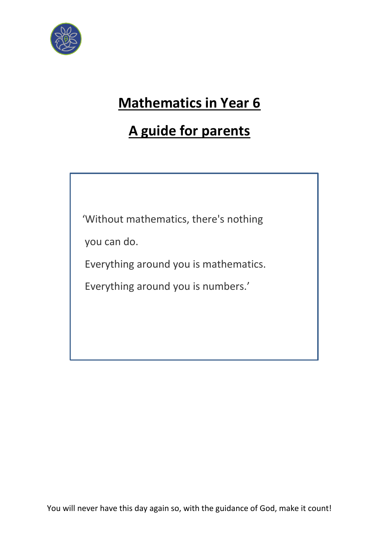

# **Mathematics in Year 6**

# **A guide for parents**

'Without mathematics, there's nothing

you can do.

Everything around you is mathematics.

Everything around you is numbers.'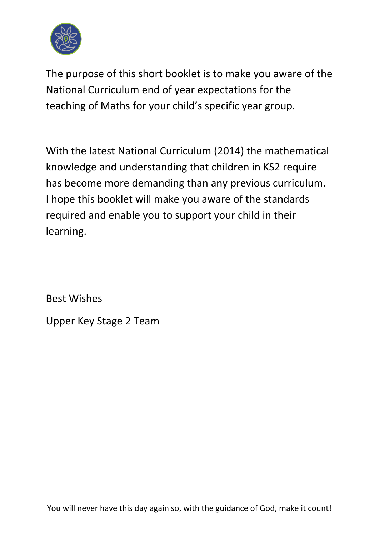

The purpose of this short booklet is to make you aware of the National Curriculum end of year expectations for the teaching of Maths for your child's specific year group.

With the latest National Curriculum (2014) the mathematical knowledge and understanding that children in KS2 require has become more demanding than any previous curriculum. I hope this booklet will make you aware of the standards required and enable you to support your child in their learning.

Best Wishes

Upper Key Stage 2 Team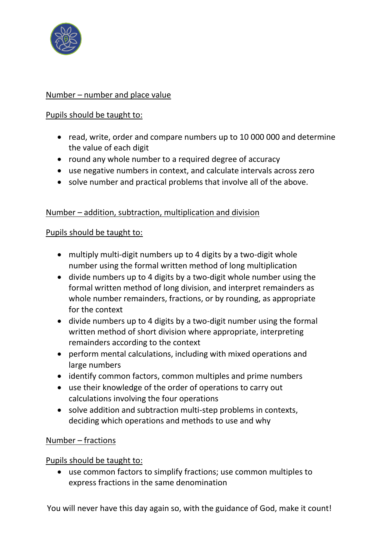

## Number – number and place value

## Pupils should be taught to:

- read, write, order and compare numbers up to 10 000 000 and determine the value of each digit
- round any whole number to a required degree of accuracy
- use negative numbers in context, and calculate intervals across zero
- solve number and practical problems that involve all of the above.

# Number – addition, subtraction, multiplication and division

### Pupils should be taught to:

- multiply multi-digit numbers up to 4 digits by a two-digit whole number using the formal written method of long multiplication
- divide numbers up to 4 digits by a two-digit whole number using the formal written method of long division, and interpret remainders as whole number remainders, fractions, or by rounding, as appropriate for the context
- divide numbers up to 4 digits by a two-digit number using the formal written method of short division where appropriate, interpreting remainders according to the context
- perform mental calculations, including with mixed operations and large numbers
- identify common factors, common multiples and prime numbers
- use their knowledge of the order of operations to carry out calculations involving the four operations
- solve addition and subtraction multi-step problems in contexts, deciding which operations and methods to use and why

# Number – fractions

# Pupils should be taught to:

• use common factors to simplify fractions; use common multiples to express fractions in the same denomination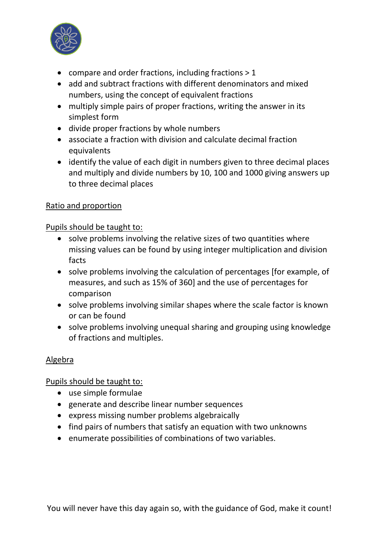

- compare and order fractions, including fractions > 1
- add and subtract fractions with different denominators and mixed numbers, using the concept of equivalent fractions
- multiply simple pairs of proper fractions, writing the answer in its simplest form
- divide proper fractions by whole numbers
- associate a fraction with division and calculate decimal fraction equivalents
- identify the value of each digit in numbers given to three decimal places and multiply and divide numbers by 10, 100 and 1000 giving answers up to three decimal places

## Ratio and proportion

### Pupils should be taught to:

- solve problems involving the relative sizes of two quantities where missing values can be found by using integer multiplication and division facts
- solve problems involving the calculation of percentages [for example, of measures, and such as 15% of 360] and the use of percentages for comparison
- solve problems involving similar shapes where the scale factor is known or can be found
- solve problems involving unequal sharing and grouping using knowledge of fractions and multiples.

# Algebra

# Pupils should be taught to:

- use simple formulae
- generate and describe linear number sequences
- express missing number problems algebraically
- find pairs of numbers that satisfy an equation with two unknowns
- enumerate possibilities of combinations of two variables.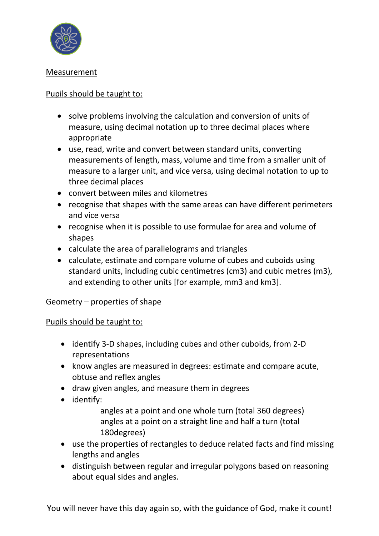

## Measurement

## Pupils should be taught to:

- solve problems involving the calculation and conversion of units of measure, using decimal notation up to three decimal places where appropriate
- use, read, write and convert between standard units, converting measurements of length, mass, volume and time from a smaller unit of measure to a larger unit, and vice versa, using decimal notation to up to three decimal places
- convert between miles and kilometres
- recognise that shapes with the same areas can have different perimeters and vice versa
- recognise when it is possible to use formulae for area and volume of shapes
- calculate the area of parallelograms and triangles
- calculate, estimate and compare volume of cubes and cuboids using standard units, including cubic centimetres (cm3) and cubic metres (m3), and extending to other units [for example, mm3 and km3].

### Geometry – properties of shape

### Pupils should be taught to:

- identify 3-D shapes, including cubes and other cuboids, from 2-D representations
- know angles are measured in degrees: estimate and compare acute, obtuse and reflex angles
- draw given angles, and measure them in degrees
- identify:
	- angles at a point and one whole turn (total 360 degrees) angles at a point on a straight line and half a turn (total 180degrees)
- use the properties of rectangles to deduce related facts and find missing lengths and angles
- distinguish between regular and irregular polygons based on reasoning about equal sides and angles.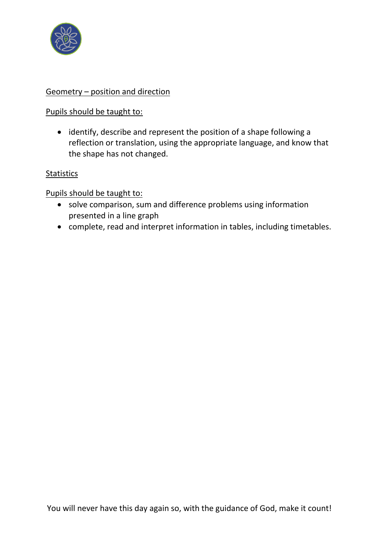

## Geometry – position and direction

### Pupils should be taught to:

• identify, describe and represent the position of a shape following a reflection or translation, using the appropriate language, and know that the shape has not changed.

### **Statistics**

### Pupils should be taught to:

- solve comparison, sum and difference problems using information presented in a line graph
- complete, read and interpret information in tables, including timetables.